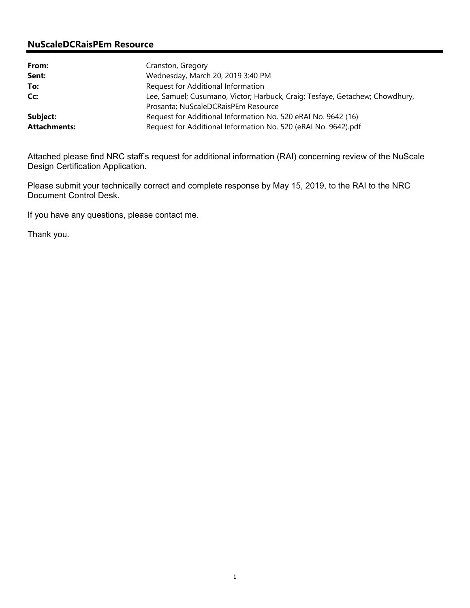## **NuScaleDCRaisPEm Resource**

| From:               | Cranston, Gregory                                                            |
|---------------------|------------------------------------------------------------------------------|
| Sent:               | Wednesday, March 20, 2019 3:40 PM                                            |
| To:                 | Request for Additional Information                                           |
| Cc:                 | Lee, Samuel; Cusumano, Victor; Harbuck, Craig; Tesfaye, Getachew; Chowdhury, |
|                     | Prosanta; NuScaleDCRaisPEm Resource                                          |
| Subject:            | Request for Additional Information No. 520 eRAI No. 9642 (16)                |
| <b>Attachments:</b> | Request for Additional Information No. 520 (eRAI No. 9642).pdf               |

Attached please find NRC staff's request for additional information (RAI) concerning review of the NuScale Design Certification Application.

Please submit your technically correct and complete response by May 15, 2019, to the RAI to the NRC Document Control Desk.

If you have any questions, please contact me.

Thank you.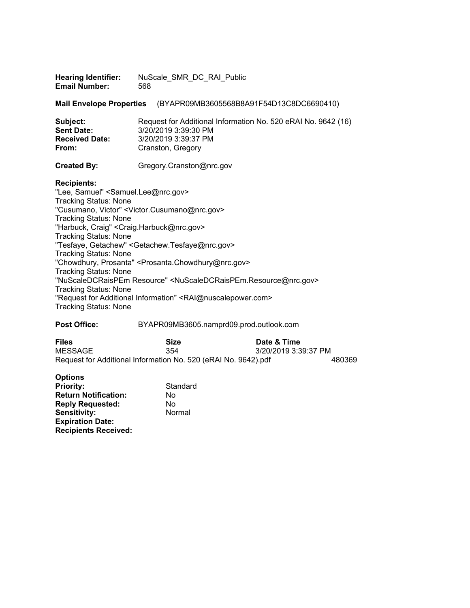| <b>Hearing Identifier:</b><br><b>Email Number:</b>                                                                                                                                                                                                                                                      | NuScale SMR DC RAI Public<br>568                                                                                                                                                                                                                                                                                                                                                     |
|---------------------------------------------------------------------------------------------------------------------------------------------------------------------------------------------------------------------------------------------------------------------------------------------------------|--------------------------------------------------------------------------------------------------------------------------------------------------------------------------------------------------------------------------------------------------------------------------------------------------------------------------------------------------------------------------------------|
| <b>Mail Envelope Properties</b>                                                                                                                                                                                                                                                                         | (BYAPR09MB3605568B8A91F54D13C8DC6690410)                                                                                                                                                                                                                                                                                                                                             |
| Subject:<br><b>Sent Date:</b><br><b>Received Date:</b><br>From:                                                                                                                                                                                                                                         | Request for Additional Information No. 520 eRAI No. 9642 (16)<br>3/20/2019 3:39:30 PM<br>3/20/2019 3:39:37 PM<br>Cranston, Gregory                                                                                                                                                                                                                                                   |
| <b>Created By:</b>                                                                                                                                                                                                                                                                                      | Gregory.Cranston@nrc.gov                                                                                                                                                                                                                                                                                                                                                             |
| <b>Recipients:</b><br>"Lee, Samuel" < Samuel.Lee@nrc.gov><br><b>Tracking Status: None</b><br><b>Tracking Status: None</b><br>"Harbuck, Craig" < Craig. Harbuck@nrc.gov><br><b>Tracking Status: None</b><br><b>Tracking Status: None</b><br><b>Tracking Status: None</b><br><b>Tracking Status: None</b> | "Cusumano, Victor" < Victor. Cusumano@nrc.gov><br>"Tesfaye, Getachew" < Getachew. Tesfaye@nrc.gov><br>"Chowdhury, Prosanta" <prosanta.chowdhury@nrc.gov><br/>"NuScaleDCRaisPEm Resource" <nuscaledcraispem.resource@nrc.gov><br/>"Request for Additional Information" <rai@nuscalepower.com></rai@nuscalepower.com></nuscaledcraispem.resource@nrc.gov></prosanta.chowdhury@nrc.gov> |
| $T_{\text{max}}$ and $\alpha$ . On the set of $\mathbf{M}$ .                                                                                                                                                                                                                                            |                                                                                                                                                                                                                                                                                                                                                                                      |

Tracking Status: None

# **Post Office:** BYAPR09MB3605.namprd09.prod.outlook.com

| <b>Files</b> | <b>Size</b>                                                    | Date & Time          |        |
|--------------|----------------------------------------------------------------|----------------------|--------|
| MESSAGE      | 354                                                            | 3/20/2019 3:39:37 PM |        |
|              | Request for Additional Information No. 520 (eRAI No. 9642).pdf |                      | 480369 |

| <b>Options</b>              |          |
|-----------------------------|----------|
|                             |          |
| <b>Priority:</b>            | Standard |
| <b>Return Notification:</b> | N٥       |
| <b>Reply Requested:</b>     | N٥       |
| <b>Sensitivity:</b>         | Normal   |
| <b>Expiration Date:</b>     |          |
| <b>Recipients Received:</b> |          |
|                             |          |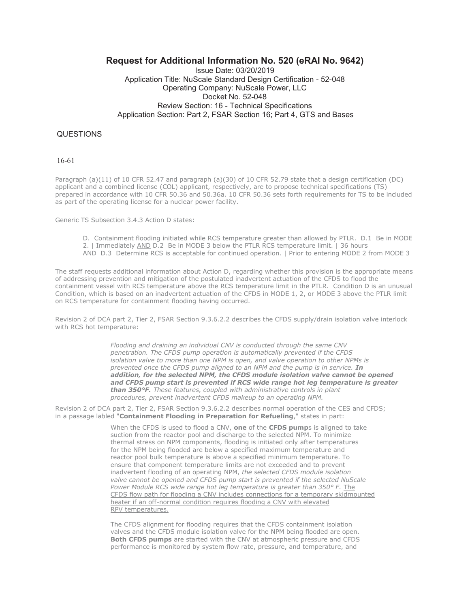### **Request for Additional Information No. 520 (eRAI No. 9642)**

Issue Date: 03/20/2019 Application Title: NuScale Standard Design Certification - 52-048 Operating Company: NuScale Power, LLC Docket No. 52-048 Review Section: 16 - Technical Specifications Application Section: Part 2, FSAR Section 16; Part 4, GTS and Bases

### QUESTIONS

16-61

Paragraph (a)(11) of 10 CFR 52.47 and paragraph (a)(30) of 10 CFR 52.79 state that a design certification (DC) applicant and a combined license (COL) applicant, respectively, are to propose technical specifications (TS) prepared in accordance with 10 CFR 50.36 and 50.36a. 10 CFR 50.36 sets forth requirements for TS to be included as part of the operating license for a nuclear power facility.

Generic TS Subsection 3.4.3 Action D states:

- D. Containment flooding initiated while RCS temperature greater than allowed by PTLR. D.1 Be in MODE 2. | Immediately AND D.2 Be in MODE 3 below the PTLR RCS temperature limit. | 36 hours
- AND D.3 Determine RCS is acceptable for continued operation. | Prior to entering MODE 2 from MODE 3

The staff requests additional information about Action D, regarding whether this provision is the appropriate means of addressing prevention and mitigation of the postulated inadvertent actuation of the CFDS to flood the containment vessel with RCS temperature above the RCS temperature limit in the PTLR. Condition D is an unusual Condition, which is based on an inadvertent actuation of the CFDS in MODE 1, 2, or MODE 3 above the PTLR limit on RCS temperature for containment flooding having occurred.

Revision 2 of DCA part 2, Tier 2, FSAR Section 9.3.6.2.2 describes the CFDS supply/drain isolation valve interlock with RCS hot temperature:

> *Flooding and draining an individual CNV is conducted through the same CNV penetration. The CFDS pump operation is automatically prevented if the CFDS isolation valve to more than one NPM is open, and valve operation to other NPMs is prevented once the CFDS pump aligned to an NPM and the pump is in service. In addition, for the selected NPM, the CFDS module isolation valve cannot be opened and CFDS pump start is prevented if RCS wide range hot leg temperature is greater than 350°F. These features, coupled with administrative controls in plant procedures, prevent inadvertent CFDS makeup to an operating NPM.*

Revision 2 of DCA part 2, Tier 2, FSAR Section 9.3.6.2.2 describes normal operation of the CES and CFDS; in a passage labled "**Containment Flooding in Preparation for Refueling**," states in part:

> When the CFDS is used to flood a CNV, **one** of the **CFDS pump**s is aligned to take suction from the reactor pool and discharge to the selected NPM. To minimize thermal stress on NPM components, flooding is initiated only after temperatures for the NPM being flooded are below a specified maximum temperature and reactor pool bulk temperature is above a specified minimum temperature. To ensure that component temperature limits are not exceeded and to prevent inadvertent flooding of an operating NPM, *the selected CFDS module isolation valve cannot be opened and CFDS pump start is prevented if the selected NuScale Power Module RCS wide range hot leg temperature is greater than 350° F.* The CFDS flow path for flooding a CNV includes connections for a temporary skidmounted heater if an off-normal condition requires flooding a CNV with elevated RPV temperatures.

The CFDS alignment for flooding requires that the CFDS containment isolation valves and the CFDS module isolation valve for the NPM being flooded are open. **Both CFDS pumps** are started with the CNV at atmospheric pressure and CFDS performance is monitored by system flow rate, pressure, and temperature, and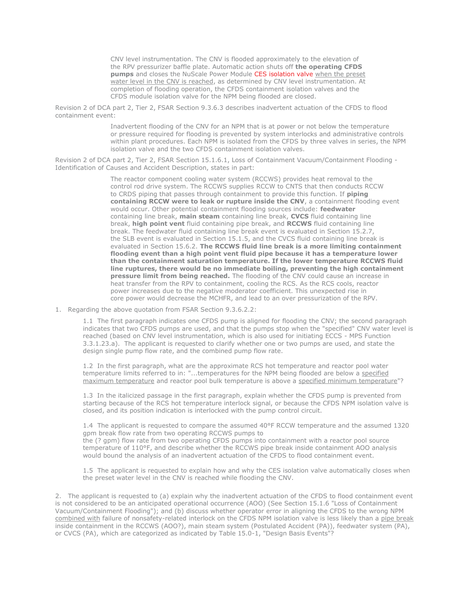CNV level instrumentation. The CNV is flooded approximately to the elevation of the RPV pressurizer baffle plate. Automatic action shuts off **the operating CFDS pumps** and closes the NuScale Power Module CES isolation valve when the preset water level in the CNV is reached, as determined by CNV level instrumentation. At completion of flooding operation, the CFDS containment isolation valves and the CFDS module isolation valve for the NPM being flooded are closed.

Revision 2 of DCA part 2, Tier 2, FSAR Section 9.3.6.3 describes inadvertent actuation of the CFDS to flood containment event:

> Inadvertent flooding of the CNV for an NPM that is at power or not below the temperature or pressure required for flooding is prevented by system interlocks and administrative controls within plant procedures. Each NPM is isolated from the CFDS by three valves in series, the NPM isolation valve and the two CFDS containment isolation valves.

Revision 2 of DCA part 2, Tier 2, FSAR Section 15.1.6.1, Loss of Containment Vacuum/Containment Flooding - Identification of Causes and Accident Description, states in part:

> The reactor component cooling water system (RCCWS) provides heat removal to the control rod drive system. The RCCWS supplies RCCW to CNTS that then conducts RCCW to CRDS piping that passes through containment to provide this function. If **piping containing RCCW were to leak or rupture inside the CNV**, a containment flooding event would occur. Other potential containment flooding sources include: **feedwater** containing line break, **main steam** containing line break, **CVCS** fluid containing line break, **high point vent** fluid containing pipe break, and **RCCWS** fluid containing line break. The feedwater fluid containing line break event is evaluated in Section 15.2.7, the SLB event is evaluated in Section 15.1.5, and the CVCS fluid containing line break is evaluated in Section 15.6.2. **The RCCWS fluid line break is a more limiting containment flooding event than a high point vent fluid pipe because it has a temperature lower than the containment saturation temperature. If the lower temperature RCCWS fluid line ruptures, there would be no immediate boiling, preventing the high containment pressure limit from being reached.** The flooding of the CNV could cause an increase in heat transfer from the RPV to containment, cooling the RCS. As the RCS cools, reactor power increases due to the negative moderator coefficient. This unexpected rise in core power would decrease the MCHFR, and lead to an over pressurization of the RPV.

1. Regarding the above quotation from FSAR Section 9.3.6.2.2:

1.1 The first paragraph indicates one CFDS pump is aligned for flooding the CNV; the second paragraph indicates that two CFDS pumps are used, and that the pumps stop when the "specified" CNV water level is reached (based on CNV level instrumentation, which is also used for initiating ECCS - MPS Function 3.3.1.23.a). The applicant is requested to clarify whether one or two pumps are used, and state the design single pump flow rate, and the combined pump flow rate.

1.2 In the first paragraph, what are the approximate RCS hot temperature and reactor pool water temperature limits referred to in: "...temperatures for the NPM being flooded are below a specified maximum temperature and reactor pool bulk temperature is above a specified minimum temperature"?

1.3 In the italicized passage in the first paragraph, explain whether the CFDS pump is prevented from starting because of the RCS hot temperature interlock signal, or because the CFDS NPM isolation valve is closed, and its position indication is interlocked with the pump control circuit.

1.4 The applicant is requested to compare the assumed 40°F RCCW temperature and the assumed 1320 gpm break flow rate from two operating RCCWS pumps to the (? gpm) flow rate from two operating CFDS pumps into containment with a reactor pool source temperature of 110°F, and describe whether the RCCWS pipe break inside containment AOO analysis would bound the analysis of an inadvertent actuation of the CFDS to flood containment event.

1.5 The applicant is requested to explain how and why the CES isolation valve automatically closes when the preset water level in the CNV is reached while flooding the CNV.

2. The applicant is requested to (a) explain why the inadvertent actuation of the CFDS to flood containment event is not considered to be an anticipated operational occurrence (AOO) (See Section 15.1.6 "Loss of Containment Vacuum/Containment Flooding"); and (b) discuss whether operator error in aligning the CFDS to the wrong NPM combined with failure of nonsafety-related interlock on the CFDS NPM isolation valve is less likely than a pipe break inside containment in the RCCWS (AOO?), main steam system (Postulated Accident (PA)), feedwater system (PA), or CVCS (PA), which are categorized as indicated by Table 15.0-1, "Design Basis Events"?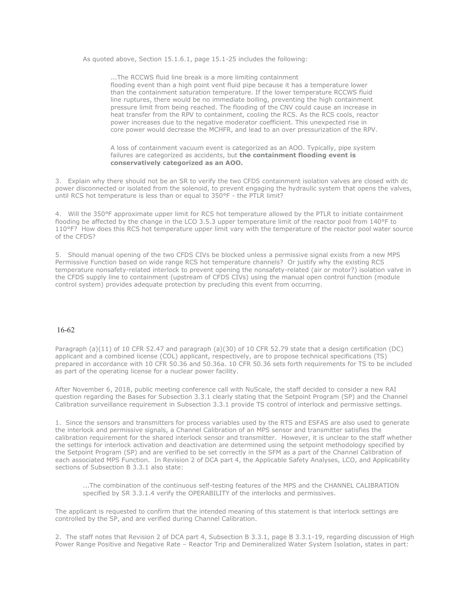As quoted above, Section 15.1.6.1, page 15.1-25 includes the following:

...The RCCWS fluid line break is a more limiting containment flooding event than a high point vent fluid pipe because it has a temperature lower than the containment saturation temperature. If the lower temperature RCCWS fluid line ruptures, there would be no immediate boiling, preventing the high containment pressure limit from being reached. The flooding of the CNV could cause an increase in heat transfer from the RPV to containment, cooling the RCS. As the RCS cools, reactor power increases due to the negative moderator coefficient. This unexpected rise in core power would decrease the MCHFR, and lead to an over pressurization of the RPV.

A loss of containment vacuum event is categorized as an AOO. Typically, pipe system failures are categorized as accidents, but **the containment flooding event is conservatively categorized as an AOO.**

3. Explain why there should not be an SR to verify the two CFDS containment isolation valves are closed with dc power disconnected or isolated from the solenoid, to prevent engaging the hydraulic system that opens the valves, until RCS hot temperature is less than or equal to 350°F - the PTLR limit?

4. Will the 350°F approximate upper limit for RCS hot temperature allowed by the PTLR to initiate containment flooding be affected by the change in the LCO 3.5.3 upper temperature limit of the reactor pool from 140°F to 110°F? How does this RCS hot temperature upper limit vary with the temperature of the reactor pool water source of the CFDS?

5. Should manual opening of the two CFDS CIVs be blocked unless a permissive signal exists from a new MPS Permissive Function based on wide range RCS hot temperature channels? Or justify why the existing RCS temperature nonsafety-related interlock to prevent opening the nonsafety-related (air or motor?) isolation valve in the CFDS supply line to containment (upstream of CFDS CIVs) using the manual open control function (module control system) provides adequate protection by precluding this event from occurring.

#### 16-62

Paragraph (a)(11) of 10 CFR 52.47 and paragraph (a)(30) of 10 CFR 52.79 state that a design certification (DC) applicant and a combined license (COL) applicant, respectively, are to propose technical specifications (TS) prepared in accordance with 10 CFR 50.36 and 50.36a. 10 CFR 50.36 sets forth requirements for TS to be included as part of the operating license for a nuclear power facility.

After November 6, 2018, public meeting conference call with NuScale, the staff decided to consider a new RAI question regarding the Bases for Subsection 3.3.1 clearly stating that the Setpoint Program (SP) and the Channel Calibration surveillance requirement in Subsection 3.3.1 provide TS control of interlock and permissive settings.

1. Since the sensors and transmitters for process variables used by the RTS and ESFAS are also used to generate the interlock and permissive signals, a Channel Calibration of an MPS sensor and transmitter satisfies the calibration requirement for the shared interlock sensor and transmitter. However, it is unclear to the staff whether the settings for interlock activation and deactivation are determined using the setpoint methodology specified by the Setpoint Program (SP) and are verified to be set correctly in the SFM as a part of the Channel Calibration of each associated MPS Function. In Revision 2 of DCA part 4, the Applicable Safety Analyses, LCO, and Applicability sections of Subsection B 3.3.1 also state:

...The combination of the continuous self-testing features of the MPS and the CHANNEL CALIBRATION specified by SR 3.3.1.4 verify the OPERABILITY of the interlocks and permissives.

The applicant is requested to confirm that the intended meaning of this statement is that interlock settings are controlled by the SP, and are verified during Channel Calibration.

2. The staff notes that Revision 2 of DCA part 4, Subsection B 3.3.1, page B 3.3.1-19, regarding discussion of High Power Range Positive and Negative Rate – Reactor Trip and Demineralized Water System Isolation, states in part: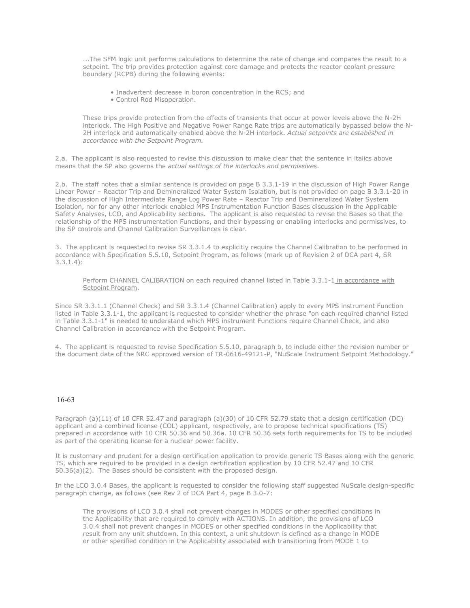...The SFM logic unit performs calculations to determine the rate of change and compares the result to a setpoint. The trip provides protection against core damage and protects the reactor coolant pressure boundary (RCPB) during the following events:

- Inadvertent decrease in boron concentration in the RCS; and
- Control Rod Misoperation.

These trips provide protection from the effects of transients that occur at power levels above the N-2H interlock. The High Positive and Negative Power Range Rate trips are automatically bypassed below the N-2H interlock and automatically enabled above the N-2H interlock. *Actual setpoints are established in accordance with the Setpoint Program.*

2.a. The applicant is also requested to revise this discussion to make clear that the sentence in italics above means that the SP also governs the *actual settings of the interlocks and permissives*.

2.b. The staff notes that a similar sentence is provided on page B 3.3.1-19 in the discussion of High Power Range Linear Power – Reactor Trip and Demineralized Water System Isolation, but is not provided on page B 3.3.1-20 in the discussion of High Intermediate Range Log Power Rate – Reactor Trip and Demineralized Water System Isolation, nor for any other interlock enabled MPS Instrumentation Function Bases discussion in the Applicable Safety Analyses, LCO, and Applicability sections. The applicant is also requested to revise the Bases so that the relationship of the MPS instrumentation Functions, and their bypassing or enabling interlocks and permissives, to the SP controls and Channel Calibration Surveillances is clear.

3. The applicant is requested to revise SR 3.3.1.4 to explicitly require the Channel Calibration to be performed in accordance with Specification 5.5.10, Setpoint Program, as follows (mark up of Revision 2 of DCA part 4, SR 3.3.1.4):

Perform CHANNEL CALIBRATION on each required channel listed in Table 3.3.1-1 in accordance with Setpoint Program.

Since SR 3.3.1.1 (Channel Check) and SR 3.3.1.4 (Channel Calibration) apply to every MPS instrument Function listed in Table 3.3.1-1, the applicant is requested to consider whether the phrase "on each required channel listed in Table 3.3.1-1" is needed to understand which MPS instrument Functions require Channel Check, and also Channel Calibration in accordance with the Setpoint Program.

4. The applicant is requested to revise Specification 5.5.10, paragraph b, to include either the revision number or the document date of the NRC approved version of TR-0616-49121-P, "NuScale Instrument Setpoint Methodology."

#### 16-63

Paragraph (a)(11) of 10 CFR 52.47 and paragraph (a)(30) of 10 CFR 52.79 state that a design certification (DC) applicant and a combined license (COL) applicant, respectively, are to propose technical specifications (TS) prepared in accordance with 10 CFR 50.36 and 50.36a. 10 CFR 50.36 sets forth requirements for TS to be included as part of the operating license for a nuclear power facility.

It is customary and prudent for a design certification application to provide generic TS Bases along with the generic TS, which are required to be provided in a design certification application by 10 CFR 52.47 and 10 CFR 50.36(a)(2). The Bases should be consistent with the proposed design.

In the LCO 3.0.4 Bases, the applicant is requested to consider the following staff suggested NuScale design-specific paragraph change, as follows (see Rev 2 of DCA Part 4, page B 3.0-7:

The provisions of LCO 3.0.4 shall not prevent changes in MODES or other specified conditions in the Applicability that are required to comply with ACTIONS. In addition, the provisions of LCO 3.0.4 shall not prevent changes in MODES or other specified conditions in the Applicability that result from any unit shutdown. In this context, a unit shutdown is defined as a change in MODE or other specified condition in the Applicability associated with transitioning from MODE 1 to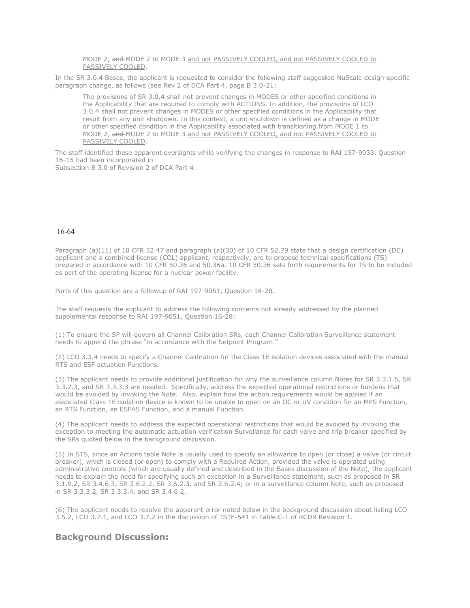MODE 2, and MODE 2 to MODE 3 and not PASSIVELY COOLED, and not PASSIVELY COOLED to PASSIVELY COOLED.

In the SR 3.0.4 Bases, the applicant is requested to consider the following staff suggested NuScale design-specific paragraph change, as follows (see Rev 2 of DCA Part 4, page B 3.0-21:

The provisions of SR 3.0.4 shall not prevent changes in MODES or other specified conditions in the Applicability that are required to comply with ACTIONS. In addition, the provisions of LCO 3.0.4 shall not prevent changes in MODES or other specified conditions in the Applicability that result from any unit shutdown. In this context, a unit shutdown is defined as a change in MODE or other specified condition in the Applicability associated with transitioning from MODE 1 to MODE 2, and MODE 2 to MODE 3 and not PASSIVELY COOLED, and not PASSIVELY COOLED to PASSIVELY COOLED.

The staff identified these apparent oversights while verifying the changes in response to RAI 157-9033, Question 16-15 had been incorporated in

Subsection B 3.0 of Revision 2 of DCA Part 4.

#### 16-64

Paragraph (a)(11) of 10 CFR 52.47 and paragraph (a)(30) of 10 CFR 52.79 state that a design certification (DC) applicant and a combined license (COL) applicant, respectively, are to propose technical specifications (TS) prepared in accordance with 10 CFR 50.36 and 50.36a. 10 CFR 50.36 sets forth requirements for TS to be included as part of the operating license for a nuclear power facility.

Parts of this question are a followup of RAI 197-9051, Question 16-28.

The staff requests the applicant to address the following concerns not already addressed by the planned supplemental response to RAI 197-9051, Question 16-28:

(1) To ensure the SP will govern all Channel Calibration SRs, each Channel Calibration Surveillance statement needs to append the phrase "in accordance with the Setpoint Program."

(2) LCO 3.3.4 needs to specify a Channel Calibration for the Class 1E isolation devices associated with the manual RTS and ESF actuation Functions.

(3) The applicant needs to provide additional justification for why the surveillance column Notes for SR 3.3.1.5, SR 3.3.2.3, and SR 3.3.3.3 are needed. Specifically, address the expected operational restrictions or burdens that would be avoided by invoking the Note. Also, explain how the action requirements would be applied if an associated Class 1E isolation device is known to be unable to open on an OC or UV condition for an MPS Function, an RTS Function, an ESFAS Function, and a manual Function.

(4) The applicant needs to address the expected operational restrictions that would be avoided by invoking the exception to meeting the automatic actuation verification Survellance for each valve and trip breaker specified by the SRs quoted below in the background discussion.

(5) In STS, since an Actions table Note is usually used to specify an allowance to open (or close) a valve (or circuit breaker), which is closed (or open) to comply with a Required Action, provided the valve is operated using administrative controls (which are usually defined and described in the Bases discussion of the Note), the applicant needs to explain the need for specifying such an exception in a Surveillance statement, such as proposed in SR 3.1.9.2, SR 3.4.6.3, SR 3.6.2.2, SR 3.6.2.3, and SR 3.6.2.4; or in a surveillance column Note, such as proposed in SR 3.3.3.2, SR 3.3.3.4, and SR 3.4.6.2.

(6) The applicant needs to resolve the apparent error noted below in the background discussion about listing LCO 3.5.2, LCO 3.7.1, and LCO 3.7.2 in the discussion of TSTF-541 in Table C-1 of RCDR Revision 1.

### **Background Discussion:**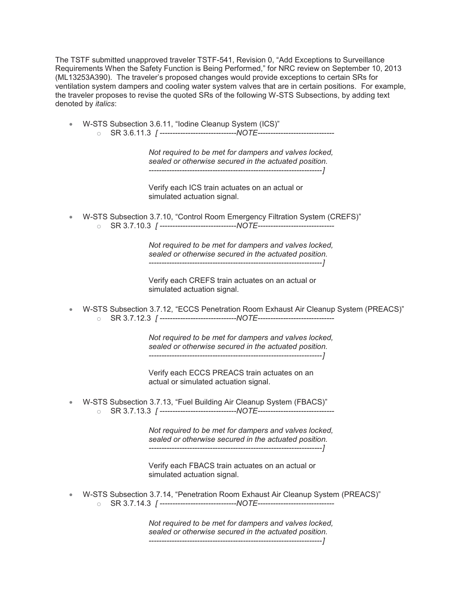The TSTF submitted unapproved traveler TSTF-541, Revision 0, "Add Exceptions to Surveillance Requirements When the Safety Function is Being Performed," for NRC review on September 10, 2013 (ML13253A390). The traveler's proposed changes would provide exceptions to certain SRs for ventilation system dampers and cooling water system valves that are in certain positions. For example, the traveler proposes to revise the quoted SRs of the following W-STS Subsections, by adding text denoted by *italics*:

x W-STS Subsection 3.6.11, "Iodine Cleanup System (ICS)" o SR 3.6.11.3 *[ ------------------------------NOTE------------------------------*

> *Not required to be met for dampers and valves locked, sealed or otherwise secured in the actuated position. --------------------------------------------------------------------]*

Verify each ICS train actuates on an actual or simulated actuation signal.

x W-STS Subsection 3.7.10, "Control Room Emergency Filtration System (CREFS)" o SR 3.7.10.3 *[ ------------------------------NOTE------------------------------*

> *Not required to be met for dampers and valves locked, sealed or otherwise secured in the actuated position. --------------------------------------------------------------------]*

Verify each CREFS train actuates on an actual or simulated actuation signal.

x W-STS Subsection 3.7.12, "ECCS Penetration Room Exhaust Air Cleanup System (PREACS)" o SR 3.7.12.3 *[ ------------------------------NOTE------------------------------*

> *Not required to be met for dampers and valves locked, sealed or otherwise secured in the actuated position. --------------------------------------------------------------------]*

Verify each ECCS PREACS train actuates on an actual or simulated actuation signal.

x W-STS Subsection 3.7.13, "Fuel Building Air Cleanup System (FBACS)" o SR 3.7.13.3 *[ ------------------------------NOTE------------------------------*

> *Not required to be met for dampers and valves locked, sealed or otherwise secured in the actuated position. --------------------------------------------------------------------]*

Verify each FBACS train actuates on an actual or simulated actuation signal.

x W-STS Subsection 3.7.14, "Penetration Room Exhaust Air Cleanup System (PREACS)" o SR 3.7.14.3 *[ ------------------------------NOTE------------------------------*

> *Not required to be met for dampers and valves locked, sealed or otherwise secured in the actuated position. --------------------------------------------------------------------]*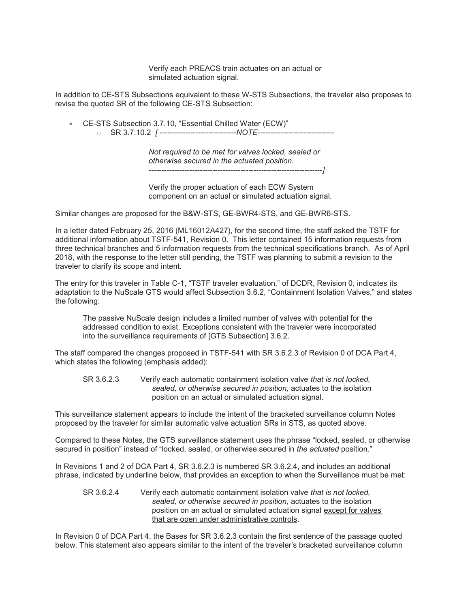Verify each PREACS train actuates on an actual or simulated actuation signal.

In addition to CE-STS Subsections equivalent to these W-STS Subsections, the traveler also proposes to revise the quoted SR of the following CE-STS Subsection:

• CE-STS Subsection 3.7.10, "Essential Chilled Water (ECW)" o SR 3.7.10.2 *[ ------------------------------NOTE------------------------------*

> *Not required to be met for valves locked, sealed or otherwise secured in the actuated position. --------------------------------------------------------------------]*

Verify the proper actuation of each ECW System component on an actual or simulated actuation signal.

Similar changes are proposed for the B&W-STS, GE-BWR4-STS, and GE-BWR6-STS.

In a letter dated February 25, 2016 (ML16012A427), for the second time, the staff asked the TSTF for additional information about TSTF-541, Revision 0. This letter contained 15 information requests from three technical branches and 5 information requests from the technical specifications branch. As of April 2018, with the response to the letter still pending, the TSTF was planning to submit a revision to the traveler to clarify its scope and intent.

The entry for this traveler in Table C-1, "TSTF traveler evaluation," of DCDR, Revision 0, indicates its adaptation to the NuScale GTS would affect Subsection 3.6.2, "Containment Isolation Valves," and states the following:

The passive NuScale design includes a limited number of valves with potential for the addressed condition to exist. Exceptions consistent with the traveler were incorporated into the surveillance requirements of [GTS Subsection] 3.6.2.

The staff compared the changes proposed in TSTF-541 with SR 3.6.2.3 of Revision 0 of DCA Part 4, which states the following (emphasis added):

SR 3.6.2.3 Verify each automatic containment isolation valve *that is not locked, sealed, or otherwise secured in position,* actuates to the isolation position on an actual or simulated actuation signal.

This surveillance statement appears to include the intent of the bracketed surveillance column Notes proposed by the traveler for similar automatic valve actuation SRs in STS, as quoted above.

Compared to these Notes, the GTS surveillance statement uses the phrase "locked, sealed, or otherwise secured in position" instead of "locked, sealed, or otherwise secured in *the actuated* position."

In Revisions 1 and 2 of DCA Part 4, SR 3.6.2.3 is numbered SR 3.6.2.4, and includes an additional phrase, indicated by underline below, that provides an exception to when the Surveillance must be met:

SR 3.6.2.4 Verify each automatic containment isolation valve *that is not locked, sealed, or otherwise secured in position,* actuates to the isolation position on an actual or simulated actuation signal except for valves that are open under administrative controls.

In Revision 0 of DCA Part 4, the Bases for SR 3.6.2.3 contain the first sentence of the passage quoted below. This statement also appears similar to the intent of the traveler's bracketed surveillance column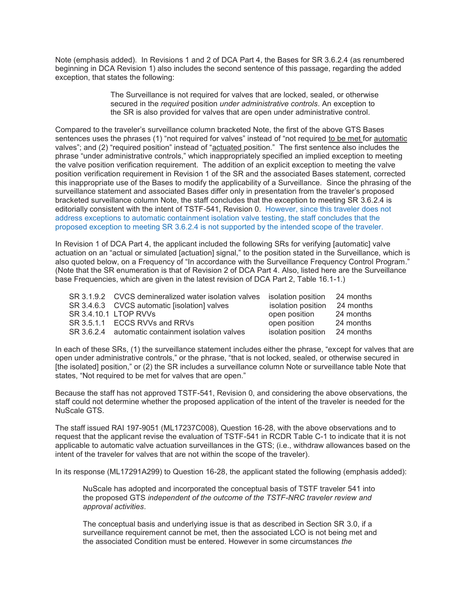Note (emphasis added). In Revisions 1 and 2 of DCA Part 4, the Bases for SR 3.6.2.4 (as renumbered beginning in DCA Revision 1) also includes the second sentence of this passage, regarding the added exception, that states the following:

> The Surveillance is not required for valves that are locked, sealed, or otherwise secured in the *required* position *under administrative controls*. An exception to the SR is also provided for valves that are open under administrative control.

Compared to the traveler's surveillance column bracketed Note, the first of the above GTS Bases sentences uses the phrases (1) "not required for valves" instead of "not required to be met for automatic valves"; and (2) "required position" instead of "actuated position." The first sentence also includes the phrase "under administrative controls," which inappropriately specified an implied exception to meeting the valve position verification requirement. The addition of an explicit exception to meeting the valve position verification requirement in Revision 1 of the SR and the associated Bases statement, corrected this inappropriate use of the Bases to modify the applicability of a Surveillance. Since the phrasing of the surveillance statement and associated Bases differ only in presentation from the traveler's proposed bracketed surveillance column Note, the staff concludes that the exception to meeting SR 3.6.2.4 is editorially consistent with the intent of TSTF-541, Revision 0. However, since this traveler does not address exceptions to automatic containment isolation valve testing, the staff concludes that the proposed exception to meeting SR 3.6.2.4 is not supported by the intended scope of the traveler.

In Revision 1 of DCA Part 4, the applicant included the following SRs for verifying [automatic] valve actuation on an "actual or simulated [actuation] signal," to the position stated in the Surveillance, which is also quoted below, on a Frequency of "In accordance with the Surveillance Frequency Control Program." (Note that the SR enumeration is that of Revision 2 of DCA Part 4. Also, listed here are the Surveillance base Frequencies, which are given in the latest revision of DCA Part 2, Table 16.1-1.)

| SR 3.1.9.2 CVCS demineralized water isolation valves | isolation position | 24 months |
|------------------------------------------------------|--------------------|-----------|
| SR 3.4.6.3 CVCS automatic [isolation] valves         | isolation position | 24 months |
| SR 3.4.10.1 LTOP RVVs                                | open position      | 24 months |
| SR 3.5.1.1 ECCS RVVs and RRVs                        | open position      | 24 months |
| SR 3.6.2.4 automatic containment isolation valves    | isolation position | 24 months |

In each of these SRs, (1) the surveillance statement includes either the phrase, "except for valves that are open under administrative controls," or the phrase, "that is not locked, sealed, or otherwise secured in [the isolated] position," or (2) the SR includes a surveillance column Note or surveillance table Note that states, "Not required to be met for valves that are open."

Because the staff has not approved TSTF-541, Revision 0, and considering the above observations, the staff could not determine whether the proposed application of the intent of the traveler is needed for the NuScale GTS.

The staff issued RAI 197-9051 (ML17237C008), Question 16-28, with the above observations and to request that the applicant revise the evaluation of TSTF-541 in RCDR Table C-1 to indicate that it is not applicable to automatic valve actuation surveillances in the GTS; (i.e., withdraw allowances based on the intent of the traveler for valves that are not within the scope of the traveler).

In its response (ML17291A299) to Question 16-28, the applicant stated the following (emphasis added):

NuScale has adopted and incorporated the conceptual basis of TSTF traveler 541 into the proposed GTS *independent of the outcome of the TSTF-NRC traveler review and approval activities*.

The conceptual basis and underlying issue is that as described in Section SR 3.0, if a surveillance requirement cannot be met, then the associated LCO is not being met and the associated Condition must be entered. However in some circumstances *the*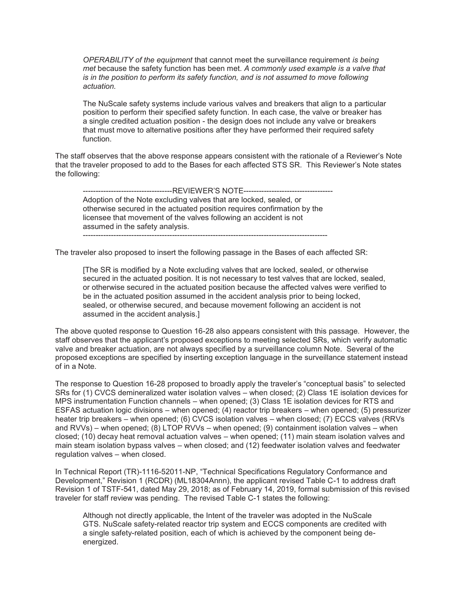*OPERABILITY of the equipment* that cannot meet the surveillance requirement *is being met* because the safety function has been met. *A commonly used example is a valve that is in the position to perform its safety function, and is not assumed to move following actuation.*

The NuScale safety systems include various valves and breakers that align to a particular position to perform their specified safety function. In each case, the valve or breaker has a single credited actuation position - the design does not include any valve or breakers that must move to alternative positions after they have performed their required safety function.

The staff observes that the above response appears consistent with the rationale of a Reviewer's Note that the traveler proposed to add to the Bases for each affected STS SR. This Reviewer's Note states the following:

--------------------REVIEWER'S NOTE------------------Adoption of the Note excluding valves that are locked, sealed, or otherwise secured in the actuated position requires confirmation by the licensee that movement of the valves following an accident is not assumed in the safety analysis. ------------------------------------------------------------------------------------------------

The traveler also proposed to insert the following passage in the Bases of each affected SR:

[The SR is modified by a Note excluding valves that are locked, sealed, or otherwise secured in the actuated position. It is not necessary to test valves that are locked, sealed, or otherwise secured in the actuated position because the affected valves were verified to be in the actuated position assumed in the accident analysis prior to being locked, sealed, or otherwise secured, and because movement following an accident is not assumed in the accident analysis.]

The above quoted response to Question 16-28 also appears consistent with this passage. However, the staff observes that the applicant's proposed exceptions to meeting selected SRs, which verify automatic valve and breaker actuation, are not always specified by a surveillance column Note. Several of the proposed exceptions are specified by inserting exception language in the surveillance statement instead of in a Note.

The response to Question 16-28 proposed to broadly apply the traveler's "conceptual basis" to selected SRs for (1) CVCS demineralized water isolation valves – when closed; (2) Class 1E isolation devices for MPS instrumentation Function channels – when opened; (3) Class 1E isolation devices for RTS and ESFAS actuation logic divisions – when opened; (4) reactor trip breakers – when opened; (5) pressurizer heater trip breakers – when opened; (6) CVCS isolation valves – when closed; (7) ECCS valves (RRVs and RVVs) – when opened; (8) LTOP RVVs – when opened; (9) containment isolation valves – when closed; (10) decay heat removal actuation valves – when opened; (11) main steam isolation valves and main steam isolation bypass valves – when closed; and (12) feedwater isolation valves and feedwater regulation valves – when closed.

In Technical Report (TR)-1116-52011-NP, "Technical Specifications Regulatory Conformance and Development," Revision 1 (RCDR) (ML18304Annn), the applicant revised Table C-1 to address draft Revision 1 of TSTF-541, dated May 29, 2018; as of February 14, 2019, formal submission of this revised traveler for staff review was pending. The revised Table C-1 states the following:

Although not directly applicable, the Intent of the traveler was adopted in the NuScale GTS. NuScale safety-related reactor trip system and ECCS components are credited with a single safety-related position, each of which is achieved by the component being deenergized.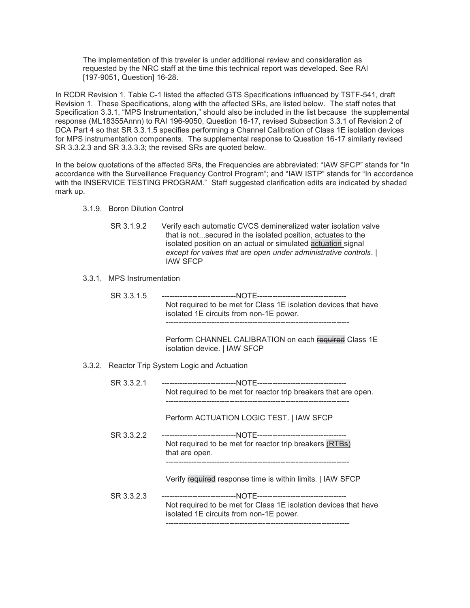The implementation of this traveler is under additional review and consideration as requested by the NRC staff at the time this technical report was developed. See RAI [197-9051, Question] 16-28.

In RCDR Revision 1, Table C-1 listed the affected GTS Specifications influenced by TSTF-541, draft Revision 1. These Specifications, along with the affected SRs, are listed below. The staff notes that Specification 3.3.1, "MPS Instrumentation," should also be included in the list because the supplemental response (ML18355Annn) to RAI 196-9050, Question 16-17, revised Subsection 3.3.1 of Revision 2 of DCA Part 4 so that SR 3.3.1.5 specifies performing a Channel Calibration of Class 1E isolation devices for MPS instrumentation components. The supplemental response to Question 16-17 similarly revised SR 3.3.2.3 and SR 3.3.3.3; the revised SRs are quoted below.

In the below quotations of the affected SRs, the Frequencies are abbreviated: "IAW SFCP" stands for "In accordance with the Surveillance Frequency Control Program"; and "IAW ISTP" stands for "In accordance with the INSERVICE TESTING PROGRAM." Staff suggested clarification edits are indicated by shaded mark up.

- 3.1.9, Boron Dilution Control
	- SR 3.1.9.2 Verify each automatic CVCS demineralized water isolation valve that is not...secured in the isolated position, actuates to the isolated position on an actual or simulated actuation signal *except for valves that are open under administrative controls*. | IAW SFCP
- 3.3.1, MPS Instrumentation
	- SR 3.3.1.5 -----------------------------NOTE----------------------------------- Not required to be met for Class 1E isolation devices that have isolated 1E circuits from non-1E power. ------------------------------------------------------------------------

Perform CHANNEL CALIBRATION on each required Class 1E isolation device. | IAW SFCP

3.3.2, Reactor Trip System Logic and Actuation

| SR 3.3.2.1 | Not required to be met for reactor trip breakers that are open.                                            |
|------------|------------------------------------------------------------------------------------------------------------|
|            | Perform ACTUATION LOGIC TEST.   IAW SFCP                                                                   |
| SR 3.3.2.2 |                                                                                                            |
|            | Not required to be met for reactor trip breakers (RTBs)<br>that are open.                                  |
|            | Verify required response time is within limits.   IAW SFCP                                                 |
| SR 3.3.2.3 | Not required to be met for Class 1E isolation devices that have<br>isolated 1E circuits from non-1E power. |
|            |                                                                                                            |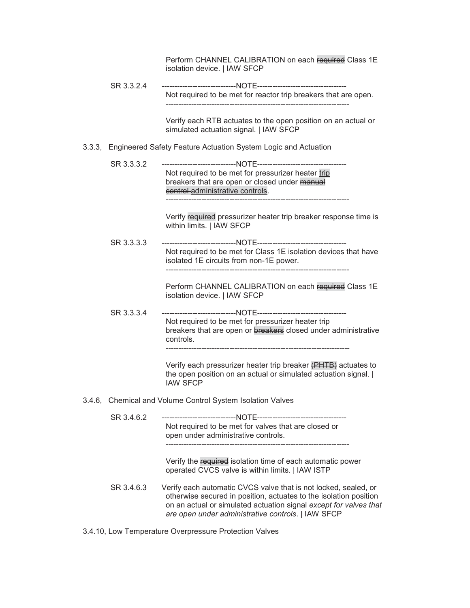|  |            | Perform CHANNEL CALIBRATION on each required Class 1E<br>isolation device.   IAW SFCP                                                                                                                                                                           |
|--|------------|-----------------------------------------------------------------------------------------------------------------------------------------------------------------------------------------------------------------------------------------------------------------|
|  | SR 3.3.2.4 |                                                                                                                                                                                                                                                                 |
|  |            | Not required to be met for reactor trip breakers that are open.                                                                                                                                                                                                 |
|  |            | Verify each RTB actuates to the open position on an actual or<br>simulated actuation signal.   IAW SFCP                                                                                                                                                         |
|  |            | 3.3.3, Engineered Safety Feature Actuation System Logic and Actuation                                                                                                                                                                                           |
|  | SR 3.3.3.2 |                                                                                                                                                                                                                                                                 |
|  |            | Not required to be met for pressurizer heater trip<br>breakers that are open or closed under manual                                                                                                                                                             |
|  |            | control-administrative controls.                                                                                                                                                                                                                                |
|  |            | Verify required pressurizer heater trip breaker response time is<br>within limits.   IAW SFCP                                                                                                                                                                   |
|  | SR 3.3.3.3 |                                                                                                                                                                                                                                                                 |
|  |            | Not required to be met for Class 1E isolation devices that have<br>isolated 1E circuits from non-1E power.                                                                                                                                                      |
|  |            | Perform CHANNEL CALIBRATION on each required Class 1E<br>isolation device.   IAW SFCP                                                                                                                                                                           |
|  | SR 3.3.3.4 |                                                                                                                                                                                                                                                                 |
|  |            | Not required to be met for pressurizer heater trip<br>breakers that are open or breakers closed under administrative<br>controls.                                                                                                                               |
|  |            | Verify each pressurizer heater trip breaker (PHTB) actuates to<br>the open position on an actual or simulated actuation signal.  <br><b>IAW SFCP</b>                                                                                                            |
|  |            | 3.4.6, Chemical and Volume Control System Isolation Valves                                                                                                                                                                                                      |
|  | SR 3.4.6.2 | Not required to be met for valves that are closed or                                                                                                                                                                                                            |
|  |            | open under administrative controls.                                                                                                                                                                                                                             |
|  |            | Verify the required isolation time of each automatic power<br>operated CVCS valve is within limits.   IAW ISTP                                                                                                                                                  |
|  | SR 3.4.6.3 | Verify each automatic CVCS valve that is not locked, sealed, or<br>otherwise secured in position, actuates to the isolation position<br>on an actual or simulated actuation signal except for valves that<br>are open under administrative controls.   IAW SFCP |
|  |            |                                                                                                                                                                                                                                                                 |

3.4.10, Low Temperature Overpressure Protection Valves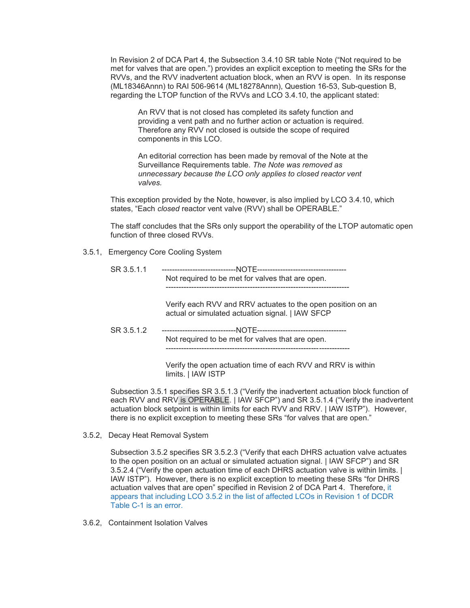In Revision 2 of DCA Part 4, the Subsection 3.4.10 SR table Note ("Not required to be met for valves that are open.") provides an explicit exception to meeting the SRs for the RVVs, and the RVV inadvertent actuation block, when an RVV is open. In its response (ML18346Annn) to RAI 506-9614 (ML18278Annn), Question 16-53, Sub-question B, regarding the LTOP function of the RVVs and LCO 3.4.10, the applicant stated:

An RVV that is not closed has completed its safety function and providing a vent path and no further action or actuation is required. Therefore any RVV not closed is outside the scope of required components in this LCO.

An editorial correction has been made by removal of the Note at the Surveillance Requirements table. *The Note was removed as unnecessary because the LCO only applies to closed reactor vent valves.*

This exception provided by the Note, however, is also implied by LCO 3.4.10, which states, "Each *closed* reactor vent valve (RVV) shall be OPERABLE."

The staff concludes that the SRs only support the operability of the LTOP automatic open function of three closed RVVs.

3.5.1, Emergency Core Cooling System

| SR 3.5.1.1 |                                                  |  |
|------------|--------------------------------------------------|--|
|            | Not required to be met for valves that are open. |  |
|            |                                                  |  |
|            |                                                  |  |

Verify each RVV and RRV actuates to the open position on an actual or simulated actuation signal. | IAW SFCP

SR 3.5.1.2 -----------------------------NOTE----------------------------------- Not required to be met for valves that are open. ------------------------------------------------------------------------

> Verify the open actuation time of each RVV and RRV is within limits. | IAW ISTP

Subsection 3.5.1 specifies SR 3.5.1.3 ("Verify the inadvertent actuation block function of each RVV and RRV is OPERABLE. | IAW SFCP") and SR 3.5.1.4 ("Verify the inadvertent actuation block setpoint is within limits for each RVV and RRV. | IAW ISTP"). However, there is no explicit exception to meeting these SRs "for valves that are open."

3.5.2, Decay Heat Removal System

Subsection 3.5.2 specifies SR 3.5.2.3 ("Verify that each DHRS actuation valve actuates to the open position on an actual or simulated actuation signal. | IAW SFCP") and SR 3.5.2.4 ("Verify the open actuation time of each DHRS actuation valve is within limits. | IAW ISTP"). However, there is no explicit exception to meeting these SRs "for DHRS actuation valves that are open" specified in Revision 2 of DCA Part 4. Therefore, it appears that including LCO 3.5.2 in the list of affected LCOs in Revision 1 of DCDR Table C-1 is an error.

3.6.2, Containment Isolation Valves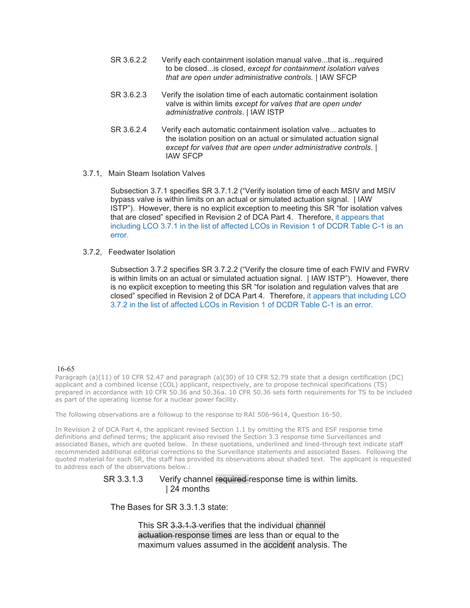- SR 3.6.2.2 Verify each containment isolation manual valve...that is...required to be closed...is closed, *except for containment isolation valves that are open under administrative controls.* | IAW SFCP
- SR 3.6.2.3 Verify the isolation time of each automatic containment isolation valve is within limits *except for valves that are open under administrative controls*. | IAW ISTP
- SR 3.6.2.4 Verify each automatic containment isolation valve... actuates to the isolation position on an actual or simulated actuation signal *except for valves that are open under administrative controls*. | IAW SFCP
- 3.7.1, Main Steam Isolation Valves

Subsection 3.7.1 specifies SR 3.7.1.2 ("Verify isolation time of each MSIV and MSIV bypass valve is within limits on an actual or simulated actuation signal. | IAW ISTP"). However, there is no explicit exception to meeting this SR "for isolation valves that are closed" specified in Revision 2 of DCA Part 4. Therefore, it appears that including LCO 3.7.1 in the list of affected LCOs in Revision 1 of DCDR Table C-1 is an error.

3.7.2, Feedwater Isolation

Subsection 3.7.2 specifies SR 3.7.2.2 ("Verify the closure time of each FWIV and FWRV is within limits on an actual or simulated actuation signal. | IAW ISTP"). However, there is no explicit exception to meeting this SR "for isolation and regulation valves that are closed" specified in Revision 2 of DCA Part 4. Therefore, it appears that including LCO 3.7.2 in the list of affected LCOs in Revision 1 of DCDR Table C-1 is an error.

#### 16-65

Paragraph (a)(11) of 10 CFR 52.47 and paragraph (a)(30) of 10 CFR 52.79 state that a design certification (DC) applicant and a combined license (COL) applicant, respectively, are to propose technical specifications (TS) prepared in accordance with 10 CFR 50.36 and 50.36a. 10 CFR 50.36 sets forth requirements for TS to be included as part of the operating license for a nuclear power facility.

The following observations are a followup to the response to RAI 506-9614, Question 16-50.

In Revision 2 of DCA Part 4, the applicant revised Section 1.1 by omitting the RTS and ESF response time definitions and defined terms; the applicant also revised the Section 3.3 response time Surveillances and associated Bases, which are quoted below. In these quotations, underlined and lined-through text indicate staff recommended additional editorial corrections to the Surveillance statements and associated Bases. Following the quoted material for each SR, the staff has provided its observations about shaded text. The applicant is requested to address each of the observations below.:

> SR 3.3.1.3 Verify channel required response time is within limits. | 24 months

The Bases for SR 3.3.1.3 state:

This SR 3.3.1.3 verifies that the individual channel actuation response times are less than or equal to the maximum values assumed in the accident analysis. The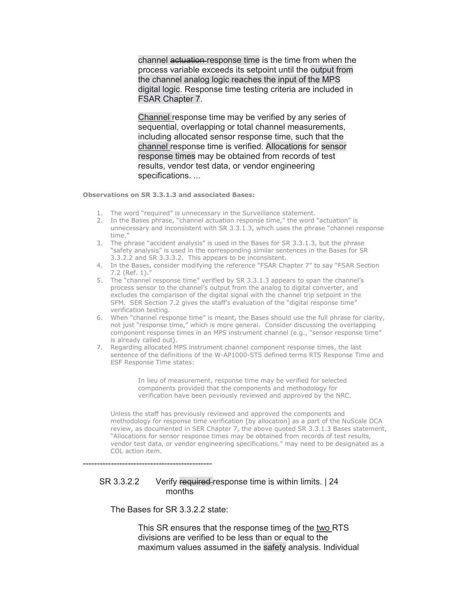channel actuation response time is the time from when the process variable exceeds its setpoint until the output from the channel analog logic reaches the input of the MPS digital logic. Response time testing criteria are included in FSAR Chapter 7.

Channel response time may be verified by any series of sequential, overlapping or total channel measurements, including allocated sensor response time, such that the channel response time is verified. Allocations for sensor response times may be obtained from records of test results, vendor test data, or vendor engineering specifications. ...

**Observations on SR 3.3.1.3 and associated Bases:**

- 1. The word "required" is unnecessary in the Surveillance statement.
- 2. In the Bases phrase, "channel actuation response time," the word "actuation" is unnecessary and inconsistent with SR 3.3.1.3, which uses the phrase "channel response time."
- 3. The phrase "accident analysis" is used in the Bases for SR 3.3.1.3, but the phrase "safety analysis" is used in the corresponding similar sentences in the Bases for SR 3.3.2.2 and SR 3.3.3.2. This appears to be inconsistent.
- 4. In the Bases, consider modifying the reference "FSAR Chapter 7" to say "FSAR Section 7.2 (Ref. 1)."
- 5. The "channel response time" verified by SR 3.3.1.3 appears to span the channel's process sensor to the channel's output from the analog to digital converter, and excludes the comparison of the digital signal with the channel trip setpoint in the SFM. SER Section 7.2 gives the staff's evaluation of the "digital response time" verification testing.
- 6. When "channel response time" is meant, the Bases should use the full phrase for clarity, not just "response time," which is more general. Consider discussing the overlapping component response times in an MPS instrument channel (e.g., "sensor response time" is already called out).
- 7. Regarding allocated MPS instrument channel component response times, the last sentence of the definitions of the W-AP1000-STS defined terms RTS Response Time and ESF Response Time states:

In lieu of measurement, response time may be verified for selected components provided that the components and methodology for verification have been peviously reviewed and approved by the NRC.

Unless the staff has previously reviewed and approved the components and methodology for response time verification [by allocation] as a part of the NuScale DCA review, as documented in SER Chapter 7, the above quoted SR 3.3.1.3 Bases statement, "Allocations for sensor response times may be obtained from records of test results, vendor test data, or vendor engineering specifications." may need to be designated as a COL action item.

----------------------------------------------

### SR 3.3.2.2 Verify required response time is within limits. | 24 months

The Bases for SR 3.3.2.2 state:

This SR ensures that the response times of the two RTS divisions are verified to be less than or equal to the maximum values assumed in the safety analysis. Individual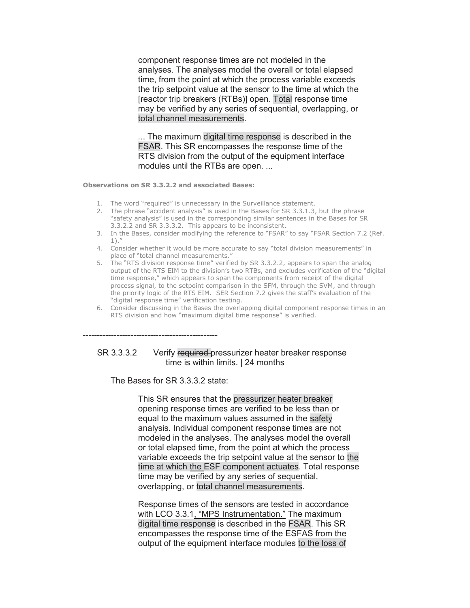component response times are not modeled in the analyses. The analyses model the overall or total elapsed time, from the point at which the process variable exceeds the trip setpoint value at the sensor to the time at which the [reactor trip breakers (RTBs)] open. Total response time may be verified by any series of sequential, overlapping, or total channel measurements.

*..*. The maximum digital time response is described in the FSAR. This SR encompasses the response time of the RTS division from the output of the equipment interface modules until the RTBs are open. ...

**Observations on SR 3.3.2.2 and associated Bases:**

- 1. The word "required" is unnecessary in the Surveillance statement.
- 2. The phrase "accident analysis" is used in the Bases for SR 3.3.1.3, but the phrase "safety analysis" is used in the corresponding similar sentences in the Bases for SR 3.3.2.2 and SR 3.3.3.2. This appears to be inconsistent.
- 3. In the Bases, consider modifying the reference to "FSAR" to say "FSAR Section 7.2 (Ref. 1)."
- 4. Consider whether it would be more accurate to say "total division measurements" in place of "total channel measurements."
- 5. The "RTS division response time" verified by SR 3.3.2.2, appears to span the analog output of the RTS EIM to the division's two RTBs, and excludes verification of the "digital time response," which appears to span the components from receipt of the digital process signal, to the setpoint comparison in the SFM, through the SVM, and through the priority logic of the RTS EIM. SER Section 7.2 gives the staff's evaluation of the "digital response time" verification testing.
- 6. Consider discussing in the Bases the overlapping digital component response times in an RTS division and how "maximum digital time response" is verified.

### SR 3.3.3.2 Verify required-pressurizer heater breaker response time is within limits. | 24 months

The Bases for SR 3.3.3.2 state:

------------------------------------------------

This SR ensures that the pressurizer heater breaker opening response times are verified to be less than or equal to the maximum values assumed in the safety analysis. Individual component response times are not modeled in the analyses. The analyses model the overall or total elapsed time, from the point at which the process variable exceeds the trip setpoint value at the sensor to the time at which the ESF component actuates. Total response time may be verified by any series of sequential, overlapping, or total channel measurements.

Response times of the sensors are tested in accordance with LCO 3.3.1, "MPS Instrumentation." The maximum digital time response is described in the FSAR. This SR encompasses the response time of the ESFAS from the output of the equipment interface modules to the loss of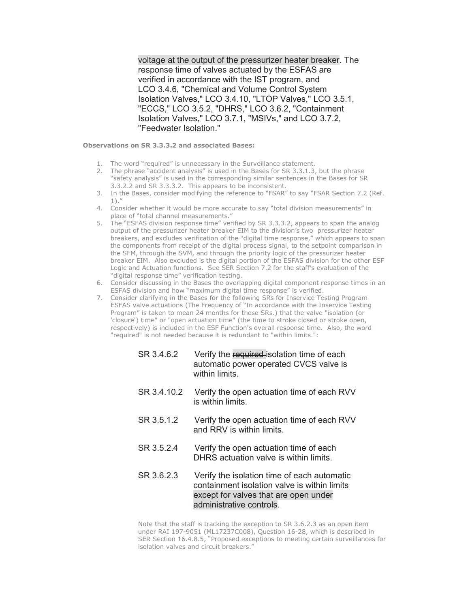voltage at the output of the pressurizer heater breaker. The response time of valves actuated by the ESFAS are verified in accordance with the IST program, and LCO 3.4.6, "Chemical and Volume Control System Isolation Valves," LCO 3.4.10, "LTOP Valves," LCO 3.5.1, "ECCS," LCO 3.5.2, "DHRS," LCO 3.6.2, "Containment Isolation Valves," LCO 3.7.1, "MSIVs," and LCO 3.7.2, "Feedwater Isolation."

**Observations on SR 3.3.3.2 and associated Bases:**

- 1. The word "required" is unnecessary in the Surveillance statement.
- 2. The phrase "accident analysis" is used in the Bases for SR 3.3.1.3, but the phrase "safety analysis" is used in the corresponding similar sentences in the Bases for SR 3.3.2.2 and SR 3.3.3.2. This appears to be inconsistent.
- 3. In the Bases, consider modifying the reference to "FSAR" to say "FSAR Section 7.2 (Ref. 1)."
- 4. Consider whether it would be more accurate to say "total division measurements" in place of "total channel measurements."
- 5. The "ESFAS division response time" verified by SR 3.3.3.2, appears to span the analog output of the pressurizer heater breaker EIM to the division's two pressurizer heater breakers, and excludes verification of the "digital time response," which appears to span the components from receipt of the digital process signal, to the setpoint comparison in the SFM, through the SVM, and through the priority logic of the pressurizer heater breaker EIM. Also excluded is the digital portion of the ESFAS division for the other ESF Logic and Actuation functions. See SER Section 7.2 for the staff's evaluation of the "digital response time" verification testing.
- 6. Consider discussing in the Bases the overlapping digital component response times in an ESFAS division and how "maximum digital time response" is verified.
- 7. Consider clarifying in the Bases for the following SRs for Inservice Testing Program ESFAS valve actuations (The Frequency of "In accordance with the Inservice Testing Program" is taken to mean 24 months for these SRs.) that the valve "isolation (or 'closure') time" or "open actuation time" (the time to stroke closed or stroke open, respectively) is included in the ESF Function's overall response time. Also, the word "required" is not needed because it is redundant to "within limits.":
	- SR 3.4.6.2 Verify the required isolation time of each automatic power operated CVCS valve is within limits.
	- SR 3.4.10.2 Verify the open actuation time of each RVV is within limits.
	- SR 3.5.1.2 Verify the open actuation time of each RVV and RRV is within limits.
	- SR 3.5.2.4 Verify the open actuation time of each DHRS actuation valve is within limits.
	- SR 3.6.2.3 Verify the isolation time of each automatic containment isolation valve is within limits except for valves that are open under administrative controls.

Note that the staff is tracking the exception to SR 3.6.2.3 as an open item under RAI 197-9051 (ML17237C008), Question 16-28, which is described in SER Section 16.4.8.5, "Proposed exceptions to meeting certain surveillances for isolation valves and circuit breakers."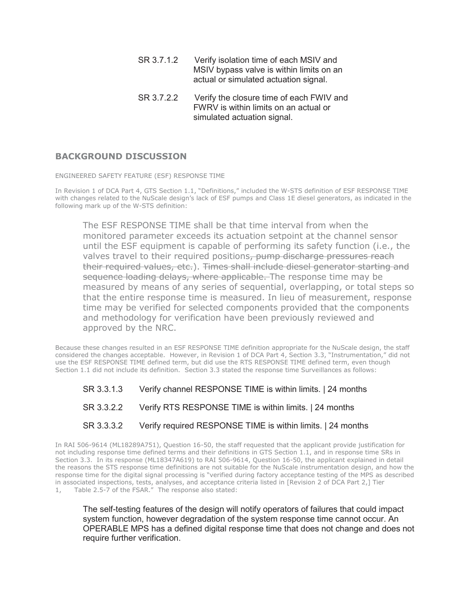- SR 3.7.1.2 Verify isolation time of each MSIV and MSIV bypass valve is within limits on an actual or simulated actuation signal.
- SR 3.7.2.2 Verify the closure time of each FWIV and FWRV is within limits on an actual or simulated actuation signal.

## **BACKGROUND DISCUSSION**

ENGINEERED SAFETY FEATURE (ESF) RESPONSE TIME

In Revision 1 of DCA Part 4, GTS Section 1.1, "Definitions," included the W-STS definition of ESF RESPONSE TIME with changes related to the NuScale design's lack of ESF pumps and Class 1E diesel generators, as indicated in the following mark up of the W-STS definition:

The ESF RESPONSE TIME shall be that time interval from when the monitored parameter exceeds its actuation setpoint at the channel sensor until the ESF equipment is capable of performing its safety function (i.e., the valves travel to their required positions, pump discharge pressures reach their required values, etc.). Times shall include diesel generator starting and sequence loading delays, where applicable. The response time may be measured by means of any series of sequential, overlapping, or total steps so that the entire response time is measured. In lieu of measurement, response time may be verified for selected components provided that the components and methodology for verification have been previously reviewed and approved by the NRC.

Because these changes resulted in an ESF RESPONSE TIME definition appropriate for the NuScale design, the staff considered the changes acceptable. However, in Revision 1 of DCA Part 4, Section 3.3, "Instrumentation," did not use the ESF RESPONSE TIME defined term, but did use the RTS RESPONSE TIME defined term, even though Section 1.1 did not include its definition. Section 3.3 stated the response time Surveillances as follows:

- SR 3.3.1.3 Verify channel RESPONSE TIME is within limits. | 24 months
- SR 3.3.2.2 Verify RTS RESPONSE TIME is within limits. | 24 months
- SR 3.3.3.2 Verify required RESPONSE TIME is within limits. | 24 months

In RAI 506-9614 (ML18289A751), Question 16-50, the staff requested that the applicant provide justification for not including response time defined terms and their definitions in GTS Section 1.1, and in response time SRs in Section 3.3. In its response (ML18347A619) to RAI 506-9614, Question 16-50, the applicant explained in detail the reasons the STS response time definitions are not suitable for the NuScale instrumentation design, and how the response time for the digital signal processing is "verified during factory acceptance testing of the MPS as described in associated inspections, tests, analyses, and acceptance criteria listed in [Revision 2 of DCA Part 2,] Tier 1, Table 2.5-7 of the FSAR." The response also stated:

The self-testing features of the design will notify operators of failures that could impact system function, however degradation of the system response time cannot occur. An OPERABLE MPS has a defined digital response time that does not change and does not require further verification.